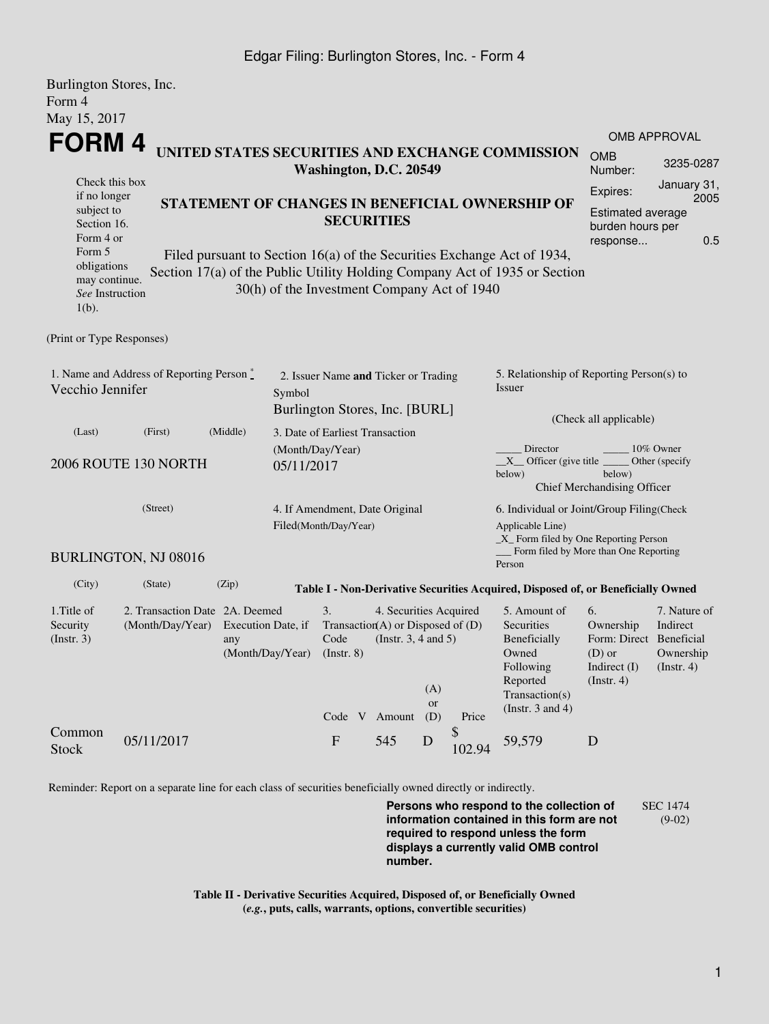## Edgar Filing: Burlington Stores, Inc. - Form 4

| Burlington Stores, Inc.                                                    |                                           |                         |                                |                                                     |                        |             |                                           |                                                                                        |                             |                         |  |
|----------------------------------------------------------------------------|-------------------------------------------|-------------------------|--------------------------------|-----------------------------------------------------|------------------------|-------------|-------------------------------------------|----------------------------------------------------------------------------------------|-----------------------------|-------------------------|--|
| Form 4                                                                     |                                           |                         |                                |                                                     |                        |             |                                           |                                                                                        |                             |                         |  |
| May 15, 2017                                                               |                                           |                         |                                |                                                     |                        |             |                                           |                                                                                        |                             |                         |  |
| FORM 4                                                                     |                                           |                         |                                |                                                     |                        |             |                                           | <b>OMB APPROVAL</b>                                                                    |                             |                         |  |
| UNITED STATES SECURITIES AND EXCHANGE COMMISSION<br>Washington, D.C. 20549 |                                           |                         |                                |                                                     |                        |             |                                           | <b>OMB</b><br>Number:                                                                  | 3235-0287                   |                         |  |
| Check this box<br>if no longer                                             |                                           |                         |                                |                                                     |                        |             |                                           |                                                                                        | Expires:                    | January 31,<br>2005     |  |
| subject to                                                                 |                                           |                         |                                | STATEMENT OF CHANGES IN BENEFICIAL OWNERSHIP OF     |                        |             |                                           |                                                                                        | Estimated average           |                         |  |
| Section 16.                                                                |                                           |                         |                                | <b>SECURITIES</b>                                   |                        |             |                                           |                                                                                        | burden hours per            |                         |  |
| Form 4 or<br>Form 5                                                        |                                           |                         |                                |                                                     |                        |             |                                           |                                                                                        | response                    | 0.5                     |  |
| obligations                                                                |                                           |                         |                                |                                                     |                        |             |                                           | Filed pursuant to Section 16(a) of the Securities Exchange Act of 1934,                |                             |                         |  |
| may continue.                                                              |                                           |                         |                                | 30(h) of the Investment Company Act of 1940         |                        |             |                                           | Section 17(a) of the Public Utility Holding Company Act of 1935 or Section             |                             |                         |  |
| See Instruction<br>$1(b)$ .                                                |                                           |                         |                                |                                                     |                        |             |                                           |                                                                                        |                             |                         |  |
|                                                                            |                                           |                         |                                |                                                     |                        |             |                                           |                                                                                        |                             |                         |  |
| (Print or Type Responses)                                                  |                                           |                         |                                |                                                     |                        |             |                                           |                                                                                        |                             |                         |  |
|                                                                            |                                           |                         |                                |                                                     |                        |             |                                           |                                                                                        |                             |                         |  |
|                                                                            | 1. Name and Address of Reporting Person * |                         |                                | 2. Issuer Name and Ticker or Trading                |                        |             |                                           | 5. Relationship of Reporting Person(s) to                                              |                             |                         |  |
| Vecchio Jennifer                                                           |                                           |                         | Symbol                         |                                                     |                        |             |                                           | Issuer                                                                                 |                             |                         |  |
|                                                                            |                                           |                         |                                | Burlington Stores, Inc. [BURL]                      |                        |             |                                           |                                                                                        | (Check all applicable)      |                         |  |
| (Last)                                                                     | (First)                                   | (Middle)                |                                | 3. Date of Earliest Transaction                     |                        |             |                                           |                                                                                        |                             |                         |  |
| 2006 ROUTE 130 NORTH<br>05/11/2017                                         |                                           |                         |                                | (Month/Day/Year)                                    |                        |             |                                           | Director                                                                               | 10% Owner                   |                         |  |
|                                                                            |                                           |                         |                                |                                                     |                        |             |                                           | $X$ Officer (give title $\overline{\phantom{a}}$<br>Other (specify<br>below)<br>below) |                             |                         |  |
|                                                                            |                                           |                         |                                |                                                     |                        |             |                                           |                                                                                        | Chief Merchandising Officer |                         |  |
| (Street)                                                                   |                                           |                         | 4. If Amendment, Date Original |                                                     |                        |             | 6. Individual or Joint/Group Filing(Check |                                                                                        |                             |                         |  |
|                                                                            |                                           |                         | Filed(Month/Day/Year)          |                                                     |                        |             | Applicable Line)                          |                                                                                        |                             |                         |  |
|                                                                            |                                           |                         |                                |                                                     |                        |             |                                           | $\_X$ Form filed by One Reporting Person<br>Form filed by More than One Reporting      |                             |                         |  |
|                                                                            | BURLINGTON, NJ 08016                      |                         |                                |                                                     |                        |             |                                           | Person                                                                                 |                             |                         |  |
| (City)                                                                     | (State)                                   | (Zip)                   |                                |                                                     |                        |             |                                           | Table I - Non-Derivative Securities Acquired, Disposed of, or Beneficially Owned       |                             |                         |  |
| 1. Title of                                                                | 2. Transaction Date 2A. Deemed            |                         |                                | 3.                                                  | 4. Securities Acquired |             |                                           | 5. Amount of                                                                           | 6.                          | 7. Nature of            |  |
| Security                                                                   | (Month/Day/Year)                          | Execution Date, if      |                                | Transaction(A) or Disposed of $(D)$                 |                        |             |                                           | Securities                                                                             | Ownership                   | Indirect                |  |
| (Insert. 3)                                                                |                                           | any<br>(Month/Day/Year) |                                | (Instr. $3, 4$ and $5$ )<br>Code<br>$($ Instr. $8)$ |                        |             |                                           | Beneficially<br>Owned                                                                  | Form: Direct<br>$(D)$ or    | Beneficial<br>Ownership |  |
|                                                                            |                                           |                         |                                |                                                     |                        |             |                                           | Following                                                                              | Indirect (I)                | (Insert. 4)             |  |
|                                                                            |                                           |                         |                                |                                                     |                        | (A)         |                                           | Reported                                                                               | (Insert. 4)                 |                         |  |
|                                                                            |                                           |                         |                                |                                                     |                        | <b>or</b>   |                                           | Transaction(s)<br>(Instr. $3$ and $4$ )                                                |                             |                         |  |
|                                                                            |                                           |                         |                                | Code V Amount                                       |                        | (D)         | Price                                     |                                                                                        |                             |                         |  |
| Common<br><b>Stock</b>                                                     | 05/11/2017                                |                         |                                | $\boldsymbol{\mathrm{F}}$                           | 545                    | $\mathbf D$ | \$<br>102.94                              | 59,579                                                                                 | D                           |                         |  |

Reminder: Report on a separate line for each class of securities beneficially owned directly or indirectly.

**Persons who respond to the collection of information contained in this form are not required to respond unless the form displays a currently valid OMB control number.** SEC 1474 (9-02)

**Table II - Derivative Securities Acquired, Disposed of, or Beneficially Owned (***e.g.***, puts, calls, warrants, options, convertible securities)**